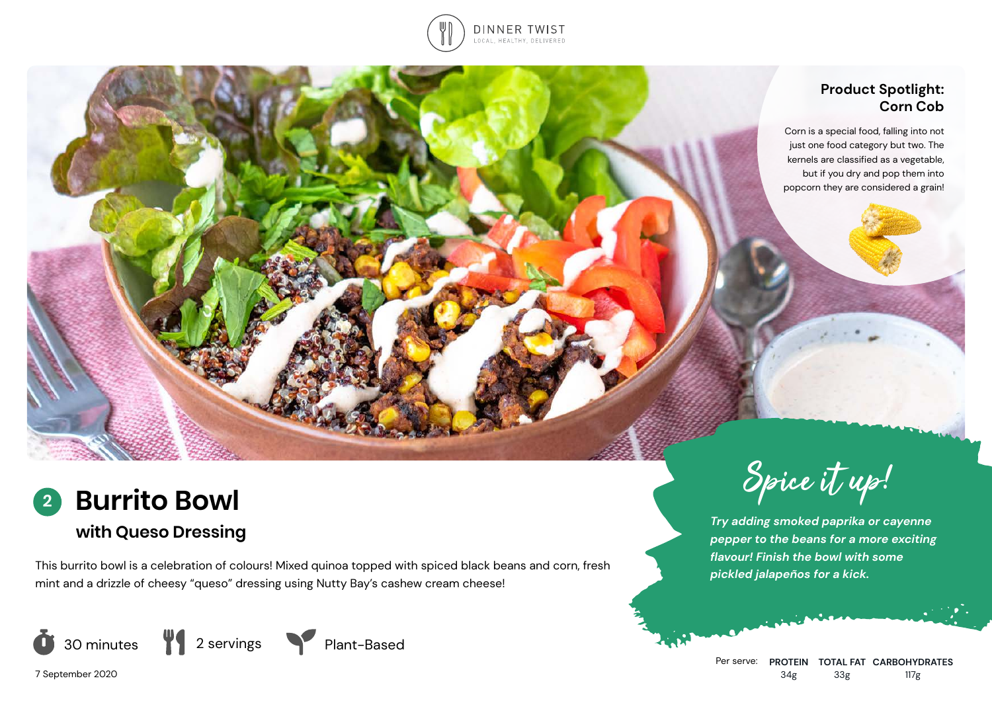

## **Product Spotlight: Corn Cob**

Corn is a special food, falling into not just one food category but two. The kernels are classified as a vegetable, but if you dry and pop them into popcorn they are considered a grain!



This burrito bowl is a celebration of colours! Mixed quinoa topped with spiced black beans and corn, fresh mint and a drizzle of cheesy "queso" dressing using Nutty Bay's cashew cream cheese!





Spice it up!

*Try adding smoked paprika or cayenne pepper to the beans for a more exciting flavour! Finish the bowl with some pickled jalapeños for a kick.*